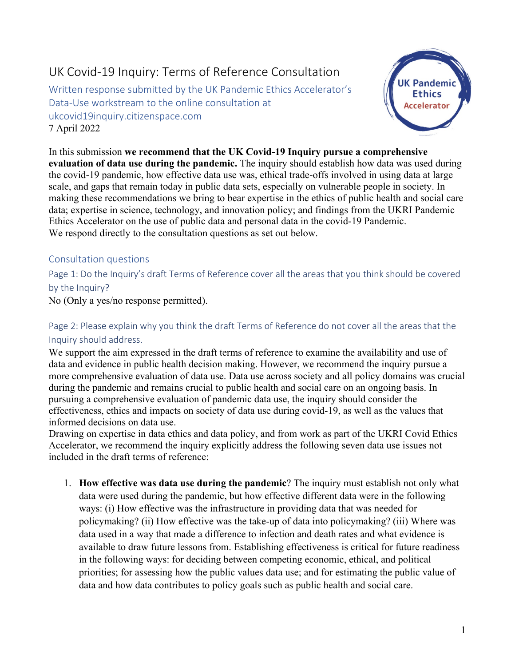## UK Covid-19 Inquiry: Terms of Reference Consultation

Written response submitted by the UK Pandemic Ethics Accelerator's Data-Use workstream to the online consultation at ukcovid19inquiry.citizenspace.com 7 April 2022



In this submission **we recommend that the UK Covid-19 Inquiry pursue a comprehensive evaluation of data use during the pandemic.** The inquiry should establish how data was used during the covid-19 pandemic, how effective data use was, ethical trade-offs involved in using data at large scale, and gaps that remain today in public data sets, especially on vulnerable people in society. In making these recommendations we bring to bear expertise in the ethics of public health and social care data; expertise in science, technology, and innovation policy; and findings from the UKRI Pandemic Ethics Accelerator on the use of public data and personal data in the covid-19 Pandemic. We respond directly to the consultation questions as set out below.

## Consultation questions

Page 1: Do the Inquiry's draft Terms of Reference cover all the areas that you think should be covered by the Inquiry?

No (Only a yes/no response permitted).

Page 2: Please explain why you think the draft Terms of Reference do not cover all the areas that the Inquiry should address.

We support the aim expressed in the draft terms of reference to examine the availability and use of data and evidence in public health decision making. However, we recommend the inquiry pursue a more comprehensive evaluation of data use. Data use across society and all policy domains was crucial during the pandemic and remains crucial to public health and social care on an ongoing basis. In pursuing a comprehensive evaluation of pandemic data use, the inquiry should consider the effectiveness, ethics and impacts on society of data use during covid-19, as well as the values that informed decisions on data use.

Drawing on expertise in data ethics and data policy, and from work as part of the UKRI Covid Ethics Accelerator, we recommend the inquiry explicitly address the following seven data use issues not included in the draft terms of reference:

1. **How effective was data use during the pandemic**? The inquiry must establish not only what data were used during the pandemic, but how effective different data were in the following ways: (i) How effective was the infrastructure in providing data that was needed for policymaking? (ii) How effective was the take-up of data into policymaking? (iii) Where was data used in a way that made a difference to infection and death rates and what evidence is available to draw future lessons from. Establishing effectiveness is critical for future readiness in the following ways: for deciding between competing economic, ethical, and political priorities; for assessing how the public values data use; and for estimating the public value of data and how data contributes to policy goals such as public health and social care.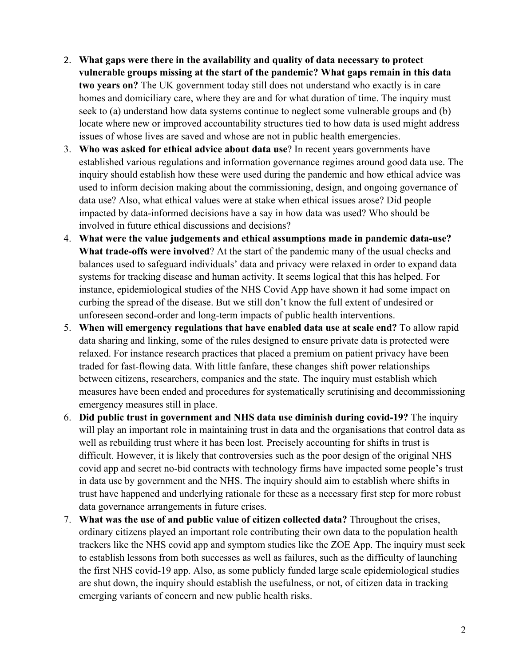- 2. **What gaps were there in the availability and quality of data necessary to protect vulnerable groups missing at the start of the pandemic? What gaps remain in this data two years on?** The UK government today still does not understand who exactly is in care homes and domiciliary care, where they are and for what duration of time. The inquiry must seek to (a) understand how data systems continue to neglect some vulnerable groups and (b) locate where new or improved accountability structures tied to how data is used might address issues of whose lives are saved and whose are not in public health emergencies.
- 3. **Who was asked for ethical advice about data use**? In recent years governments have established various regulations and information governance regimes around good data use. The inquiry should establish how these were used during the pandemic and how ethical advice was used to inform decision making about the commissioning, design, and ongoing governance of data use? Also, what ethical values were at stake when ethical issues arose? Did people impacted by data-informed decisions have a say in how data was used? Who should be involved in future ethical discussions and decisions?
- 4. **What were the value judgements and ethical assumptions made in pandemic data-use? What trade-offs were involved**? At the start of the pandemic many of the usual checks and balances used to safeguard individuals' data and privacy were relaxed in order to expand data systems for tracking disease and human activity. It seems logical that this has helped. For instance, epidemiological studies of the NHS Covid App have shown it had some impact on curbing the spread of the disease. But we still don't know the full extent of undesired or unforeseen second-order and long-term impacts of public health interventions.
- 5. **When will emergency regulations that have enabled data use at scale end?** To allow rapid data sharing and linking, some of the rules designed to ensure private data is protected were relaxed. For instance research practices that placed a premium on patient privacy have been traded for fast-flowing data. With little fanfare, these changes shift power relationships between citizens, researchers, companies and the state. The inquiry must establish which measures have been ended and procedures for systematically scrutinising and decommissioning emergency measures still in place.
- 6. **Did public trust in government and NHS data use diminish during covid-19?** The inquiry will play an important role in maintaining trust in data and the organisations that control data as well as rebuilding trust where it has been lost*.* Precisely accounting for shifts in trust is difficult. However, it is likely that controversies such as the poor design of the original NHS covid app and secret no-bid contracts with technology firms have impacted some people's trust in data use by government and the NHS. The inquiry should aim to establish where shifts in trust have happened and underlying rationale for these as a necessary first step for more robust data governance arrangements in future crises.
- 7. **What was the use of and public value of citizen collected data?** Throughout the crises, ordinary citizens played an important role contributing their own data to the population health trackers like the NHS covid app and symptom studies like the ZOE App. The inquiry must seek to establish lessons from both successes as well as failures, such as the difficulty of launching the first NHS covid-19 app. Also, as some publicly funded large scale epidemiological studies are shut down, the inquiry should establish the usefulness, or not, of citizen data in tracking emerging variants of concern and new public health risks.